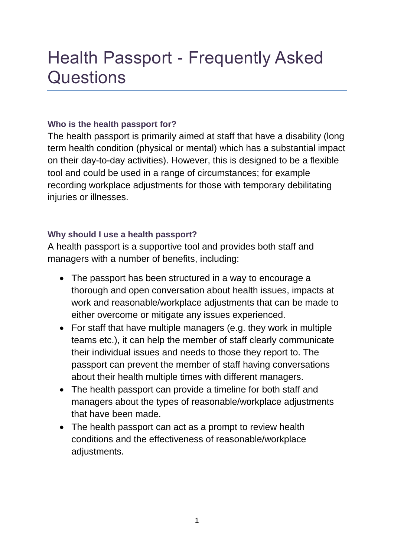# Health Passport - Frequently Asked **Questions**

# **Who is the health passport for?**

The health passport is primarily aimed at staff that have a disability (long term health condition (physical or mental) which has a substantial impact on their day-to-day activities). However, this is designed to be a flexible tool and could be used in a range of circumstances; for example recording workplace adjustments for those with temporary debilitating injuries or illnesses.

# **Why should I use a health passport?**

A health passport is a supportive tool and provides both staff and managers with a number of benefits, including:

- The passport has been structured in a way to encourage a thorough and open conversation about health issues, impacts at work and reasonable/workplace adjustments that can be made to either overcome or mitigate any issues experienced.
- For staff that have multiple managers (e.g. they work in multiple teams etc.), it can help the member of staff clearly communicate their individual issues and needs to those they report to. The passport can prevent the member of staff having conversations about their health multiple times with different managers.
- The health passport can provide a timeline for both staff and managers about the types of reasonable/workplace adjustments that have been made.
- The health passport can act as a prompt to review health conditions and the effectiveness of reasonable/workplace adjustments.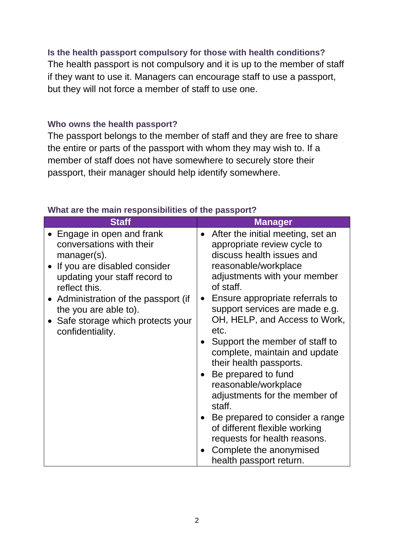### **Is the health passport compulsory for those with health conditions?**

The health passport is not compulsory and it is up to the member of staff if they want to use it. Managers can encourage staff to use a passport, but they will not force a member of staff to use one.

#### **Who owns the health passport?**

The passport belongs to the member of staff and they are free to share the entire or parts of the passport with whom they may wish to. If a member of staff does not have somewhere to securely store their passport, their manager should help identify somewhere.

| <b>Staff</b>                                                                                                                                                 | <b>Manager</b>                                                                                                                                                                                                                                                                                                                                                                                                                    |
|--------------------------------------------------------------------------------------------------------------------------------------------------------------|-----------------------------------------------------------------------------------------------------------------------------------------------------------------------------------------------------------------------------------------------------------------------------------------------------------------------------------------------------------------------------------------------------------------------------------|
| Engage in open and frank<br>conversations with their<br>$m$ anager $(s)$ .<br>If you are disabled consider<br>updating your staff record to<br>reflect this. | After the initial meeting, set an<br>appropriate review cycle to<br>discuss health issues and<br>reasonable/workplace<br>adjustments with your member<br>of staff.                                                                                                                                                                                                                                                                |
| Administration of the passport (if<br>the you are able to).<br>Safe storage which protects your<br>confidentiality.                                          | Ensure appropriate referrals to<br>support services are made e.g.<br>OH, HELP, and Access to Work,<br>etc.<br>Support the member of staff to<br>complete, maintain and update<br>their health passports.<br>Be prepared to fund<br>reasonable/workplace<br>adjustments for the member of<br>staff.<br>Be prepared to consider a range<br>of different flexible working<br>requests for health reasons.<br>Complete the anonymised |
|                                                                                                                                                              | health passport return.                                                                                                                                                                                                                                                                                                                                                                                                           |

#### **What are the main responsibilities of the passport?**